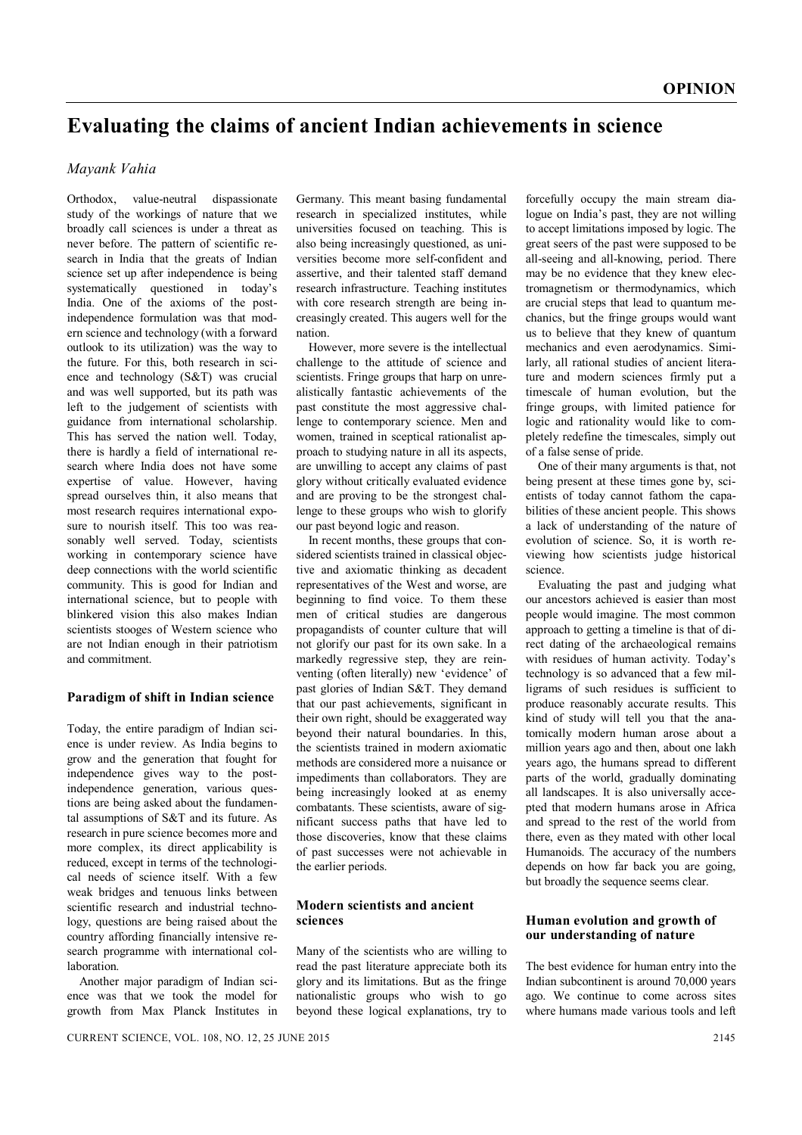# **Evaluating the claims of ancient Indian achievements in science**

# *Mayank Vahia*

Orthodox, value-neutral dispassionate study of the workings of nature that we broadly call sciences is under a threat as never before. The pattern of scientific research in India that the greats of Indian science set up after independence is being systematically questioned in today's India. One of the axioms of the postindependence formulation was that modern science and technology (with a forward outlook to its utilization) was the way to the future. For this, both research in science and technology (S&T) was crucial and was well supported, but its path was left to the judgement of scientists with guidance from international scholarship. This has served the nation well. Today, there is hardly a field of international research where India does not have some expertise of value. However, having spread ourselves thin, it also means that most research requires international exposure to nourish itself. This too was reasonably well served. Today, scientists working in contemporary science have deep connections with the world scientific community. This is good for Indian and international science, but to people with blinkered vision this also makes Indian scientists stooges of Western science who are not Indian enough in their patriotism and commitment.

#### **Paradigm of shift in Indian science**

Today, the entire paradigm of Indian science is under review. As India begins to grow and the generation that fought for independence gives way to the postindependence generation, various questions are being asked about the fundamental assumptions of S&T and its future. As research in pure science becomes more and more complex, its direct applicability is reduced, except in terms of the technological needs of science itself. With a few weak bridges and tenuous links between scientific research and industrial technology, questions are being raised about the country affording financially intensive research programme with international collaboration.

Another major paradigm of Indian science was that we took the model for growth from Max Planck Institutes in

Germany. This meant basing fundamental research in specialized institutes, while universities focused on teaching. This is also being increasingly questioned, as universities become more self-confident and assertive, and their talented staff demand research infrastructure. Teaching institutes with core research strength are being increasingly created. This augers well for the nation.

However, more severe is the intellectual challenge to the attitude of science and scientists. Fringe groups that harp on unrealistically fantastic achievements of the past constitute the most aggressive challenge to contemporary science. Men and women, trained in sceptical rationalist approach to studying nature in all its aspects, are unwilling to accept any claims of past glory without critically evaluated evidence and are proving to be the strongest challenge to these groups who wish to glorify our past beyond logic and reason.

In recent months, these groups that considered scientists trained in classical objective and axiomatic thinking as decadent representatives of the West and worse, are beginning to find voice. To them these men of critical studies are dangerous propagandists of counter culture that will not glorify our past for its own sake. In a markedly regressive step, they are reinventing (often literally) new 'evidence' of past glories of Indian S&T. They demand that our past achievements, significant in their own right, should be exaggerated way beyond their natural boundaries. In this the scientists trained in modern axiomatic methods are considered more a nuisance or impediments than collaborators. They are being increasingly looked at as enemy combatants. These scientists, aware of significant success paths that have led to those discoveries, know that these claims of past successes were not achievable in the earlier periods.

## **Modern scientists and ancient sciences**

Many of the scientists who are willing to read the past literature appreciate both its glory and its limitations. But as the fringe nationalistic groups who wish to go beyond these logical explanations, try to forcefully occupy the main stream dialogue on India's past, they are not willing to accept limitations imposed by logic. The great seers of the past were supposed to be all-seeing and all-knowing, period. There may be no evidence that they knew electromagnetism or thermodynamics, which are crucial steps that lead to quantum mechanics, but the fringe groups would want us to believe that they knew of quantum mechanics and even aerodynamics. Similarly, all rational studies of ancient literature and modern sciences firmly put a timescale of human evolution, but the fringe groups, with limited patience for logic and rationality would like to completely redefine the timescales, simply out of a false sense of pride.

One of their many arguments is that, not being present at these times gone by, scientists of today cannot fathom the capabilities of these ancient people. This shows a lack of understanding of the nature of evolution of science. So, it is worth reviewing how scientists judge historical science.

Evaluating the past and judging what our ancestors achieved is easier than most people would imagine. The most common approach to getting a timeline is that of direct dating of the archaeological remains with residues of human activity. Today's technology is so advanced that a few milligrams of such residues is sufficient to produce reasonably accurate results. This kind of study will tell you that the anatomically modern human arose about a million years ago and then, about one lakh years ago, the humans spread to different parts of the world, gradually dominating all landscapes. It is also universally accepted that modern humans arose in Africa and spread to the rest of the world from there, even as they mated with other local Humanoids. The accuracy of the numbers depends on how far back you are going, but broadly the sequence seems clear.

#### **Human evolution and growth of our understanding of nature**

The best evidence for human entry into the Indian subcontinent is around 70,000 years ago. We continue to come across sites where humans made various tools and left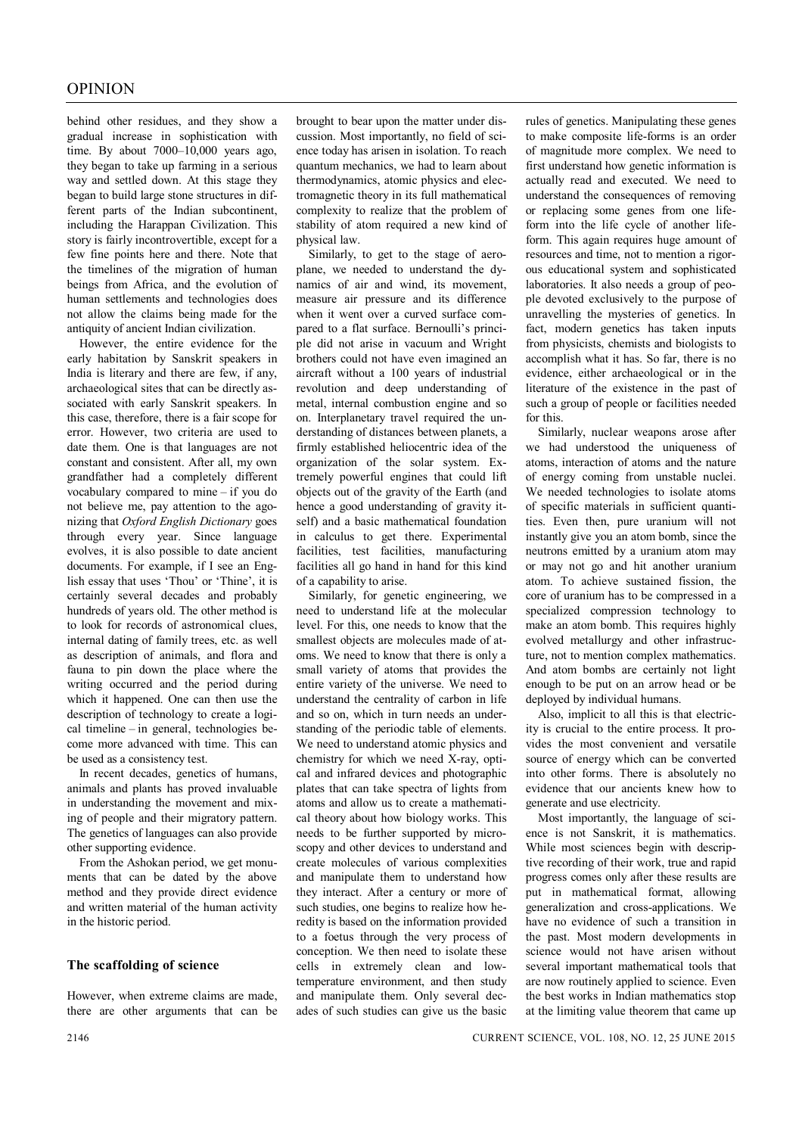behind other residues, and they show a gradual increase in sophistication with time. By about 7000–10,000 years ago, they began to take up farming in a serious way and settled down. At this stage they began to build large stone structures in different parts of the Indian subcontinent, including the Harappan Civilization. This story is fairly incontrovertible, except for a few fine points here and there. Note that the timelines of the migration of human beings from Africa, and the evolution of human settlements and technologies does not allow the claims being made for the antiquity of ancient Indian civilization.

However, the entire evidence for the early habitation by Sanskrit speakers in India is literary and there are few, if any, archaeological sites that can be directly associated with early Sanskrit speakers. In this case, therefore, there is a fair scope for error. However, two criteria are used to date them. One is that languages are not constant and consistent. After all, my own grandfather had a completely different vocabulary compared to mine – if you do not believe me, pay attention to the agonizing that *Oxford English Dictionary* goes through every year. Since language evolves, it is also possible to date ancient documents. For example, if I see an English essay that uses 'Thou' or 'Thine', it is certainly several decades and probably hundreds of years old. The other method is to look for records of astronomical clues, internal dating of family trees, etc. as well as description of animals, and flora and fauna to pin down the place where the writing occurred and the period during which it happened. One can then use the description of technology to create a logical timeline – in general, technologies become more advanced with time. This can be used as a consistency test.

In recent decades, genetics of humans, animals and plants has proved invaluable in understanding the movement and mixing of people and their migratory pattern. The genetics of languages can also provide other supporting evidence.

From the Ashokan period, we get monuments that can be dated by the above method and they provide direct evidence and written material of the human activity in the historic period.

## **The scaffolding of science**

However, when extreme claims are made, there are other arguments that can be

brought to bear upon the matter under discussion. Most importantly, no field of science today has arisen in isolation. To reach quantum mechanics, we had to learn about thermodynamics, atomic physics and electromagnetic theory in its full mathematical complexity to realize that the problem of stability of atom required a new kind of physical law.

Similarly, to get to the stage of aeroplane, we needed to understand the dynamics of air and wind, its movement, measure air pressure and its difference when it went over a curved surface compared to a flat surface. Bernoulli's principle did not arise in vacuum and Wright brothers could not have even imagined an aircraft without a 100 years of industrial revolution and deep understanding of metal, internal combustion engine and so on. Interplanetary travel required the understanding of distances between planets, a firmly established heliocentric idea of the organization of the solar system. Extremely powerful engines that could lift objects out of the gravity of the Earth (and hence a good understanding of gravity itself) and a basic mathematical foundation in calculus to get there. Experimental facilities, test facilities, manufacturing facilities all go hand in hand for this kind of a capability to arise.

Similarly, for genetic engineering, we need to understand life at the molecular level. For this, one needs to know that the smallest objects are molecules made of atoms. We need to know that there is only a small variety of atoms that provides the entire variety of the universe. We need to understand the centrality of carbon in life and so on, which in turn needs an understanding of the periodic table of elements. We need to understand atomic physics and chemistry for which we need X-ray, optical and infrared devices and photographic plates that can take spectra of lights from atoms and allow us to create a mathematical theory about how biology works. This needs to be further supported by microscopy and other devices to understand and create molecules of various complexities and manipulate them to understand how they interact. After a century or more of such studies, one begins to realize how heredity is based on the information provided to a foetus through the very process of conception. We then need to isolate these cells in extremely clean and lowtemperature environment, and then study and manipulate them. Only several decades of such studies can give us the basic rules of genetics. Manipulating these genes to make composite life-forms is an order of magnitude more complex. We need to first understand how genetic information is actually read and executed. We need to understand the consequences of removing or replacing some genes from one lifeform into the life cycle of another lifeform. This again requires huge amount of resources and time, not to mention a rigorous educational system and sophisticated laboratories. It also needs a group of people devoted exclusively to the purpose of unravelling the mysteries of genetics. In fact, modern genetics has taken inputs from physicists, chemists and biologists to accomplish what it has. So far, there is no evidence, either archaeological or in the literature of the existence in the past of such a group of people or facilities needed for this.

Similarly, nuclear weapons arose after we had understood the uniqueness of atoms, interaction of atoms and the nature of energy coming from unstable nuclei. We needed technologies to isolate atoms of specific materials in sufficient quantities. Even then, pure uranium will not instantly give you an atom bomb, since the neutrons emitted by a uranium atom may or may not go and hit another uranium atom. To achieve sustained fission, the core of uranium has to be compressed in a specialized compression technology to make an atom bomb. This requires highly evolved metallurgy and other infrastructure, not to mention complex mathematics. And atom bombs are certainly not light enough to be put on an arrow head or be deployed by individual humans.

Also, implicit to all this is that electricity is crucial to the entire process. It provides the most convenient and versatile source of energy which can be converted into other forms. There is absolutely no evidence that our ancients knew how to generate and use electricity.

Most importantly, the language of science is not Sanskrit, it is mathematics. While most sciences begin with descriptive recording of their work, true and rapid progress comes only after these results are put in mathematical format, allowing generalization and cross-applications. We have no evidence of such a transition in the past. Most modern developments in science would not have arisen without several important mathematical tools that are now routinely applied to science. Even the best works in Indian mathematics stop at the limiting value theorem that came up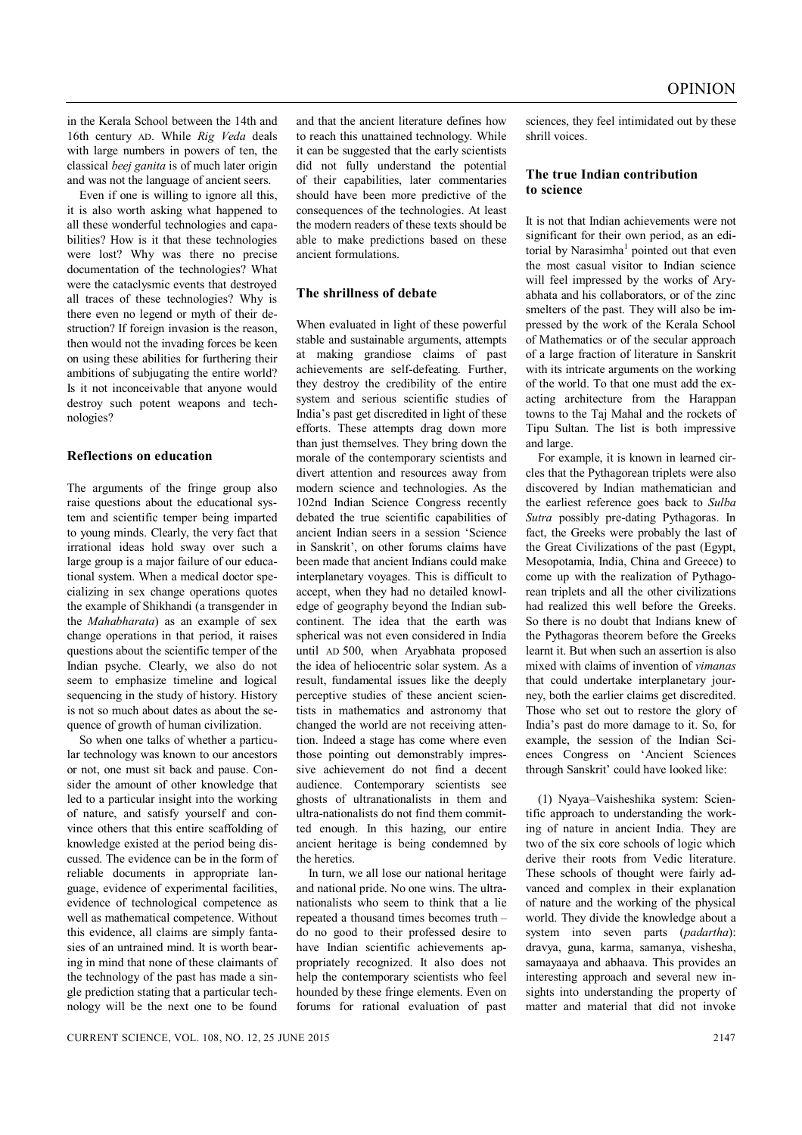in the Kerala School between the 14th and 16th century AD. While *Rig Veda* deals with large numbers in powers of ten, the classical *beej ganita* is of much later origin and was not the language of ancient seers.

Even if one is willing to ignore all this, it is also worth asking what happened to all these wonderful technologies and capabilities? How is it that these technologies were lost? Why was there no precise documentation of the technologies? What were the cataclysmic events that destroyed all traces of these technologies? Why is there even no legend or myth of their destruction? If foreign invasion is the reason, then would not the invading forces be keen on using these abilities for furthering their ambitions of subjugating the entire world? Is it not inconceivable that anyone would destroy such potent weapons and technologies?

## **Reflections on education**

The arguments of the fringe group also raise questions about the educational system and scientific temper being imparted to young minds. Clearly, the very fact that irrational ideas hold sway over such a large group is a major failure of our educational system. When a medical doctor specializing in sex change operations quotes the example of Shikhandi (a transgender in the *Mahabharata*) as an example of sex change operations in that period, it raises questions about the scientific temper of the Indian psyche. Clearly, we also do not seem to emphasize timeline and logical sequencing in the study of history. History is not so much about dates as about the sequence of growth of human civilization.

So when one talks of whether a particular technology was known to our ancestors or not, one must sit back and pause. Consider the amount of other knowledge that led to a particular insight into the working of nature, and satisfy yourself and convince others that this entire scaffolding of knowledge existed at the period being discussed. The evidence can be in the form of reliable documents in appropriate language, evidence of experimental facilities, evidence of technological competence as well as mathematical competence. Without this evidence, all claims are simply fantasies of an untrained mind. It is worth bearing in mind that none of these claimants of the technology of the past has made a single prediction stating that a particular technology will be the next one to be found

and that the ancient literature defines how to reach this unattained technology. While it can be suggested that the early scientists did not fully understand the potential of their capabilities, later commentaries should have been more predictive of the consequences of the technologies. At least the modern readers of these texts should be able to make predictions based on these ancient formulations.

#### **The shrillness of debate**

When evaluated in light of these powerful stable and sustainable arguments, attempts at making grandiose claims of past achievements are self-defeating. Further, they destroy the credibility of the entire system and serious scientific studies of India's past get discredited in light of these efforts. These attempts drag down more than just themselves. They bring down the morale of the contemporary scientists and divert attention and resources away from modern science and technologies. As the 102nd Indian Science Congress recently debated the true scientific capabilities of ancient Indian seers in a session 'Science in Sanskrit', on other forums claims have been made that ancient Indians could make interplanetary voyages. This is difficult to accept, when they had no detailed knowledge of geography beyond the Indian subcontinent. The idea that the earth was spherical was not even considered in India until AD 500, when Aryabhata proposed the idea of heliocentric solar system. As a result, fundamental issues like the deeply perceptive studies of these ancient scientists in mathematics and astronomy that changed the world are not receiving attention. Indeed a stage has come where even those pointing out demonstrably impressive achievement do not find a decent audience. Contemporary scientists see ghosts of ultranationalists in them and ultra-nationalists do not find them committed enough. In this hazing, our entire ancient heritage is being condemned by the heretics.

In turn, we all lose our national heritage and national pride. No one wins. The ultranationalists who seem to think that a lie repeated a thousand times becomes truth – do no good to their professed desire to have Indian scientific achievements appropriately recognized. It also does not help the contemporary scientists who feel hounded by these fringe elements. Even on forums for rational evaluation of past sciences, they feel intimidated out by these shrill voices.

## **The true Indian contribution to science**

It is not that Indian achievements were not significant for their own period, as an editorial by Narasimha<sup>1</sup> pointed out that even the most casual visitor to Indian science will feel impressed by the works of Aryabhata and his collaborators, or of the zinc smelters of the past. They will also be impressed by the work of the Kerala School of Mathematics or of the secular approach of a large fraction of literature in Sanskrit with its intricate arguments on the working of the world. To that one must add the exacting architecture from the Harappan towns to the Taj Mahal and the rockets of Tipu Sultan. The list is both impressive and large.

For example, it is known in learned circles that the Pythagorean triplets were also discovered by Indian mathematician and the earliest reference goes back to *Sulba Sutra* possibly pre-dating Pythagoras. In fact, the Greeks were probably the last of the Great Civilizations of the past (Egypt, Mesopotamia, India, China and Greece) to come up with the realization of Pythagorean triplets and all the other civilizations had realized this well before the Greeks. So there is no doubt that Indians knew of the Pythagoras theorem before the Greeks learnt it. But when such an assertion is also mixed with claims of invention of *vimanas*  that could undertake interplanetary journey, both the earlier claims get discredited. Those who set out to restore the glory of India's past do more damage to it. So, for example, the session of the Indian Sciences Congress on 'Ancient Sciences through Sanskrit' could have looked like:

(1) Nyaya–Vaisheshika system: Scientific approach to understanding the working of nature in ancient India. They are two of the six core schools of logic which derive their roots from Vedic literature. These schools of thought were fairly advanced and complex in their explanation of nature and the working of the physical world. They divide the knowledge about a system into seven parts (*padartha*): dravya, guna, karma, samanya, vishesha, samayaaya and abhaava. This provides an interesting approach and several new insights into understanding the property of matter and material that did not invoke